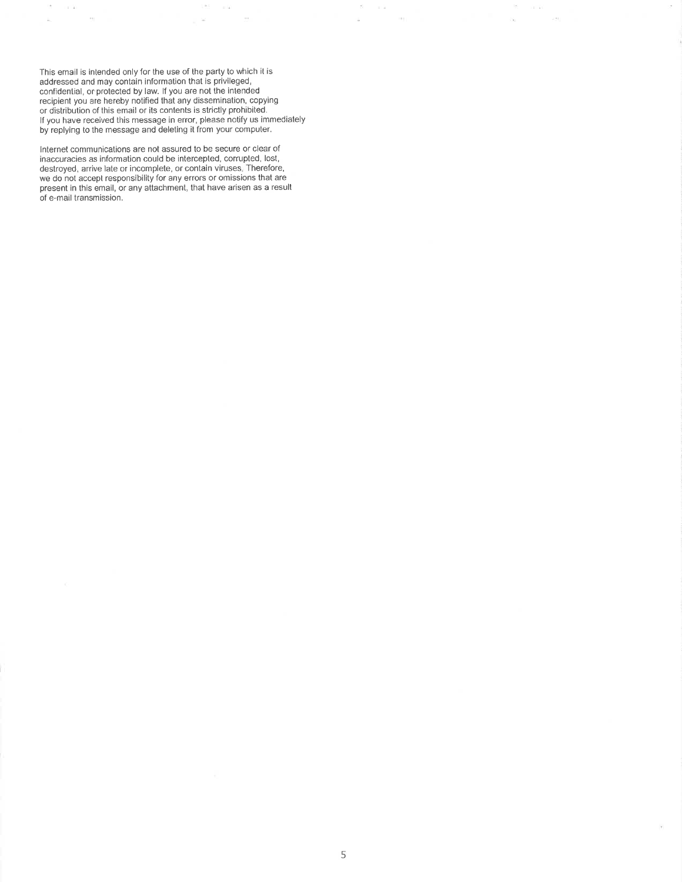This email is intended only for the use of the party to which it is addressed and may contain information that is privileged, confidential, or protected by law. If you are not the intended recipient you are hereby notified that any dissemination, copying or distribution of this email or its contents is strictly prohibited. if you have received this message in error, please notify us immediately by replying to the message and deleting it from your computer.

 $125$   $\sim$  102

 $\sim$ 

 $\omega_{\rm c}$   $\simeq$ 

is in 1991.<br>Si

 $\alpha$ 

 $\sigma = \alpha$  is

 $\bar{\nu}(\bar{t})$ 

 $\tilde{\infty}$ 

 $\overline{\mathcal{L}}$ 

 $\tau$ 

ú

 $\alpha = \alpha \in \mathbb{Z}$ 

 $\frac{1}{2}$ 

í,

Internet communications are not assured to be secure or clear of inaccuracies as information could be intercepted, corrupted, lost, destroyed, arrive late or incomplete, or contain viruses, Therefore, we do not accept responsibility for any errors or omissions that are present in this email, or any attachment, that have arisen as a result of e-mail transmission.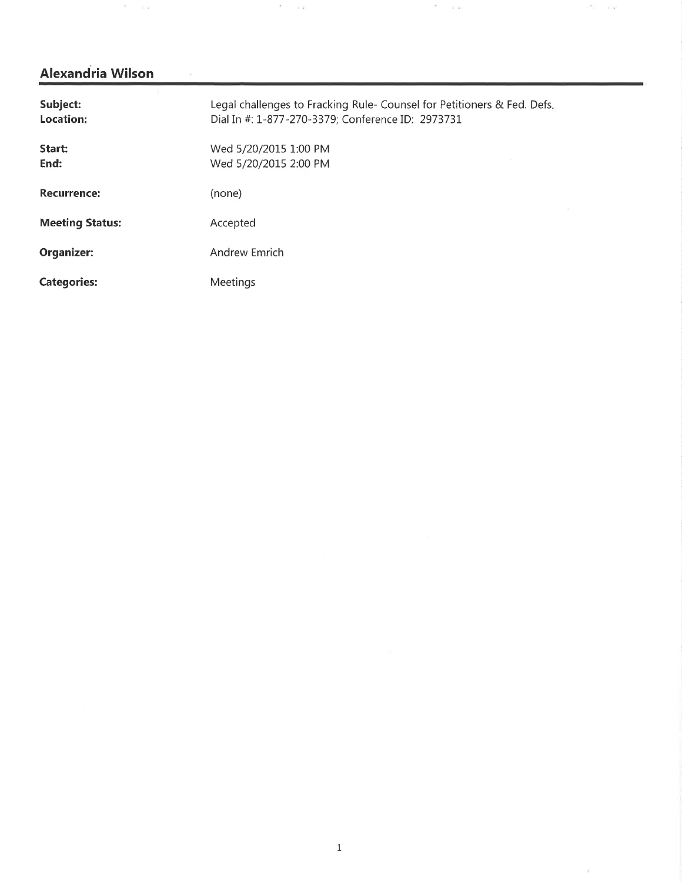$\mathbf{E}^{\prime} = -\pm \mathbf{G}$ 

 $\sim$  100  $\mu$ 

| Subject:<br>Location:  | Legal challenges to Fracking Rule- Counsel for Petitioners & Fed. Defs.<br>Dial In #: 1-877-270-3379; Conference ID: 2973731 |  |
|------------------------|------------------------------------------------------------------------------------------------------------------------------|--|
| Start:<br>End:         | Wed 5/20/2015 1:00 PM<br>Wed 5/20/2015 2:00 PM                                                                               |  |
| <b>Recurrence:</b>     | (none)                                                                                                                       |  |
| <b>Meeting Status:</b> | Accepted                                                                                                                     |  |
| Organizer:             | Andrew Emrich                                                                                                                |  |
| <b>Categories:</b>     | Meetings                                                                                                                     |  |

 $1.85\,$   $1.1$ 

 $\bar{t}$ 

control of the cards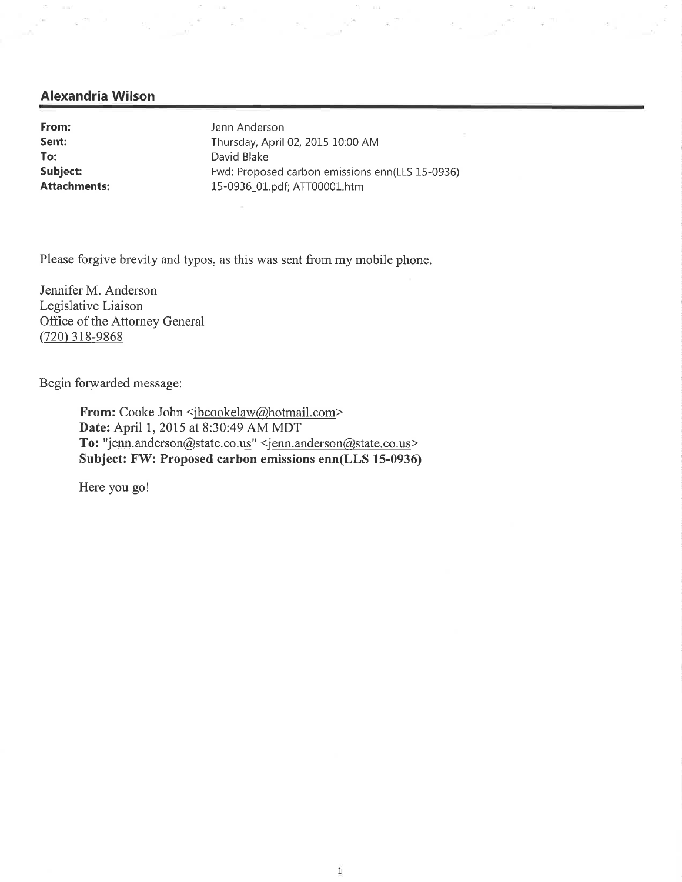To: David Blake

From: Jenn Anderson Sent: Thursday, April 02, 2015 10:00 AM Subject: Fwd: Proposed carbon emissions enn(LLS 15-0936) Attachments: 15-0936\_01.pdf; ATT00001.htm

Please forgive brevity and typos, as this was sent from my mobile phone.

Jennifer M. Anderson Legislative Liaison Office of the Attorney General (720) 318-9868

Begin forwarded message:

From: Cooke John <jbcookelaw@hotmail.com> Date: April 1, 2015 at 8:30:49 AM MDT To: "jenn.anderson@state.co.us" <jenn.anderson@state.co.us> Subject: FW: Proposed carbon emissions enn(LLS 15-0936)

Here you go!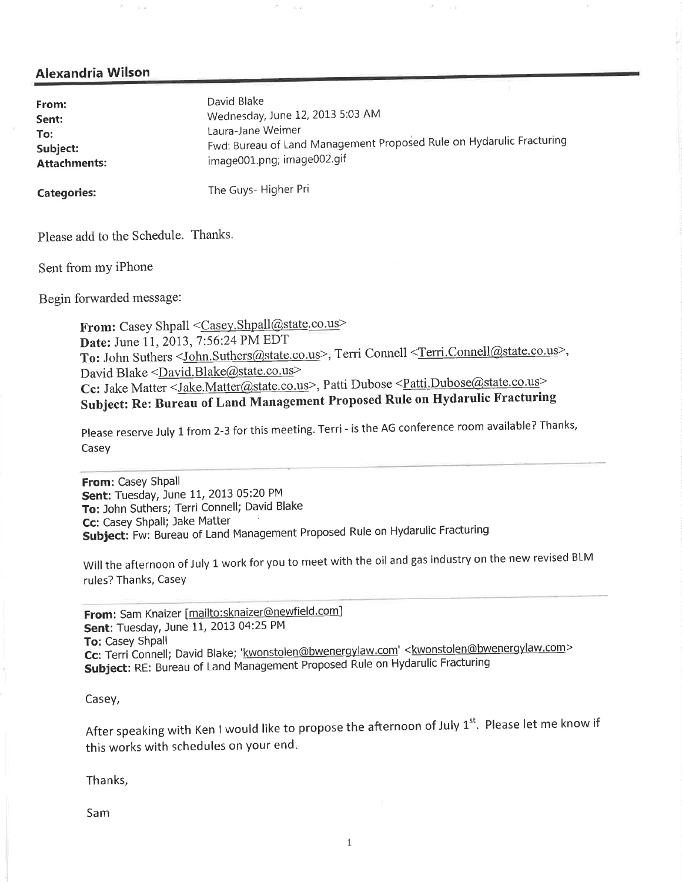| From:               | David Blake                                                          |
|---------------------|----------------------------------------------------------------------|
| Sent:               | Wednesday, June 12, 2013 5:03 AM                                     |
| To:                 | Laura-Jane Weimer                                                    |
| Subject:            | Fwd: Bureau of Land Management Proposed Rule on Hydarulic Fracturing |
| <b>Attachments:</b> | image001.png; image002.gif                                           |

Categories: The Guys- Higher Pri

Please add to the Schedule. Thanks.

Sent from my iPhone

Begin forwarded message:

From: Casey Shpall <Casey.Shpall@state.co.us> Date: June 11, 2013, 7:56:24 PM EDT To: John Suthers <John.Suthers@state.co.us>, Terri Connell <Terri.Connel@state.co.us>, David Blake <David.Blake@state.co.us> Cc: Jake Matter <*Jake.Matter@state.co.us*>, Patti Dubose <*Patti.Dubose@state.co.us* Subject: Re: Bureau of Land Management Proposed Rule on Hydarulic Fracturing

Please reserve July 1 from 2-3 for this meeting. Terri - is the AG conference room available? Thanks, Casey

From: Casey Shpall Sent: Tuesday, June 11, 2013 05:20 PM To: John Suthers; Terri Connell; David Blake<br>Cc: Casey Shpall; Jake Matter **Cc**: Casey Shpall; Jake Matter ' Subject: Fw: Bureau of Land Management Proposed Rule on Hydarulic Fracturing

Will the afternoon of July 1 work for you to meet with the oil and gas industry on the new revised BLM rules? Thanks, Casey

From: Sam Knaizer [mailto:sknaizer@newfield.com] Sent: Tuesday, June 11, 2013 04:25 PM To: Casey Shpall Cc: Terri Connell; David Blake; 'kwonstolen@bwenergylaw.com' <kwonstolen@bwenergylaw.com> Subject: RE: Bureau of Land Management Proposed Rule on Hydarulic Fracturing

Casey,

After speaking with Ken I would like to propose the afternoon of July  $1^{st}$ . Please let me know if this works with schedules on your end.

Thanks

Sam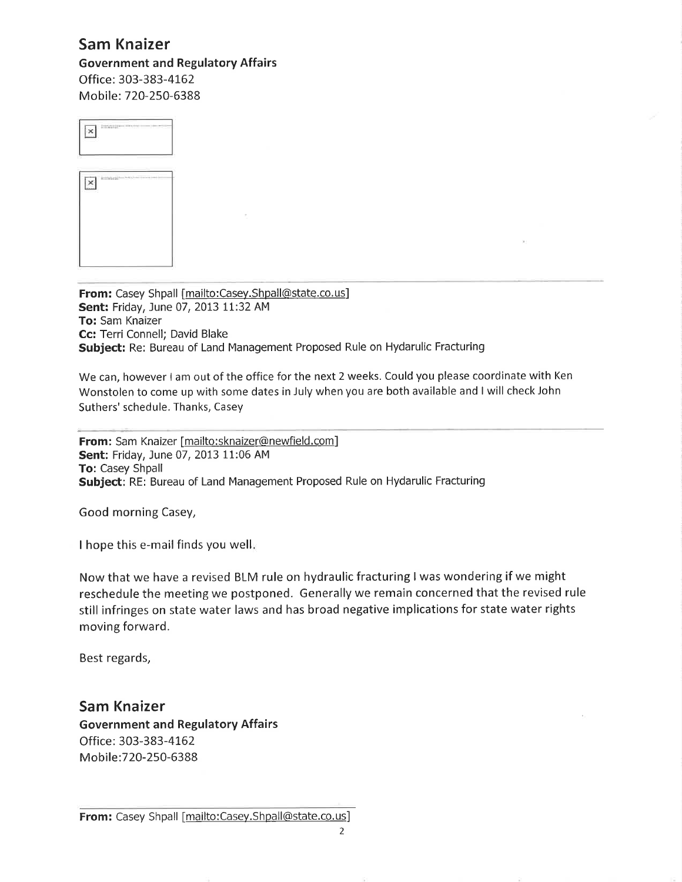### Sam Knaizer

Government and Regulatory Affairs Office: 303-383-4162 Mobile: 720-250-6388



From: Casey Shpall [mailto:Casey.Shpall@state.co.us] Sent: Friday, June 07, 2013 11:32 AM To: Sam Knaizer Cc: Terri Connell; David Blake Subject: Re: Bureau of Land Management Proposed Rule on Hydarulic Fracturing

We can, however <sup>l</sup> am out of the office for the next 2 weeks. Could you please coordinate with Ken Wonstolen to come up with some dates in July when you are both available and <sup>I</sup> will check John Suthers' schedule. Thanks, Casey

From: Sam Knaizer [mailto:sknaizer@newfield.com] Sent: Friday, June 07, 2013 11:06 AM To: Casey Shpall Subject: RE: Bureau of Land Management Proposed Rule on Hydarulic Fracturing

Good morning Casey,

<sup>I</sup> hope this e-mail finds you well.

Now that we have <sup>a</sup> revised BLM rule on hydraulic fracturing <sup>I</sup> was wondering if we might reschedule the meeting we postponed. Generally we remain concerned that the revised rule still infringes on state water laws and has broad negative implications for state water rights moving forward.

Best regards,

Sam Knaizer Government and Regulatory Affairs Office: 303-383-4162 Mobile:720-250-6388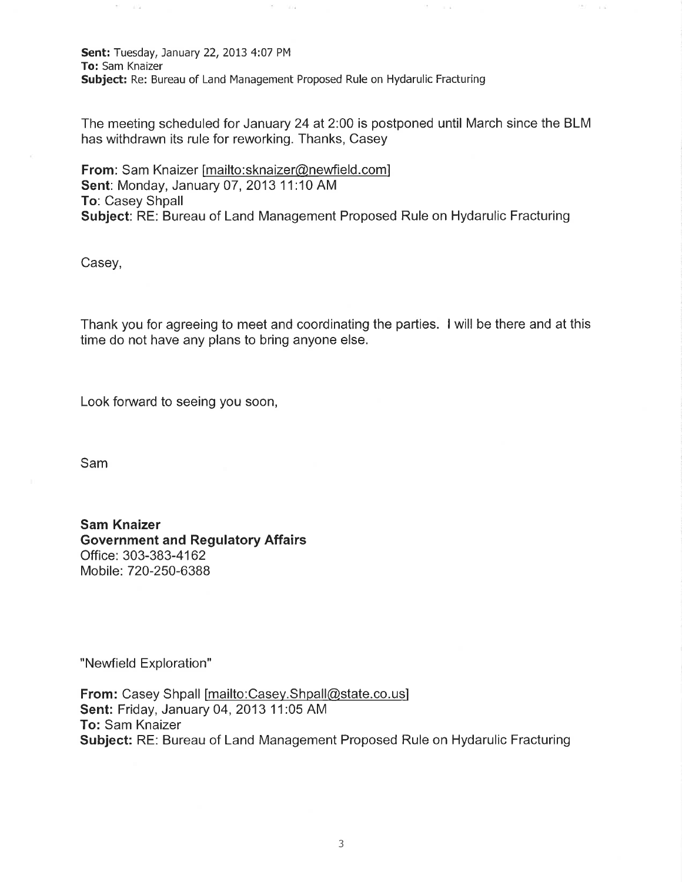Sent: Tuesday, January 22, 2013 4:07 PM To: Sam Knaizer Subject: Re: Bureau of Land Management Proposed Rule on Hydarulic Fracturing

 $\left\langle \frac{m}{m}\right\rangle$ 

 $-0.04$ 

The meeting scheduled for January 24 at 2:00 is postponed until March since the BLM has withdrawn its rule for reworking. Thanks, Casey

 $\overline{\mathcal{C}}$  .

 $\alpha = \alpha$ 

 $\geq 0.1$ 

 $\sim$  1  $\alpha$ 

From: Sam Knaizer [mailto:sknaizer@newfield.com] Sent: Monday, January 07, 2013 11:10 AM To: Casey Shpall Subject: RE: Bureau of Land Management Proposed Rule on Hydarulic Fracturing

Casey,

 $\mathbb{S}^1 = -1$  is

Thank you for agreeing to meet and coordinating the parties. <sup>l</sup> will be there and at this time do not have any plans to bring anyone else.

Look forward to seeing you soon,

Sam

Sam Knaizer Government and Regulatory Affairs Office: 303-383-4162 Mobile: 720-250-6388

"Newfield Exploration"

From: Casey Shpall [mailto:Casey.Shpall@state.co.us] Sent: Friday, January 04, 2013 11:05 AM To: Sam Knaizer Subject: RE: Bureau of Land Management Proposed Rule on Hydarulic Fracturing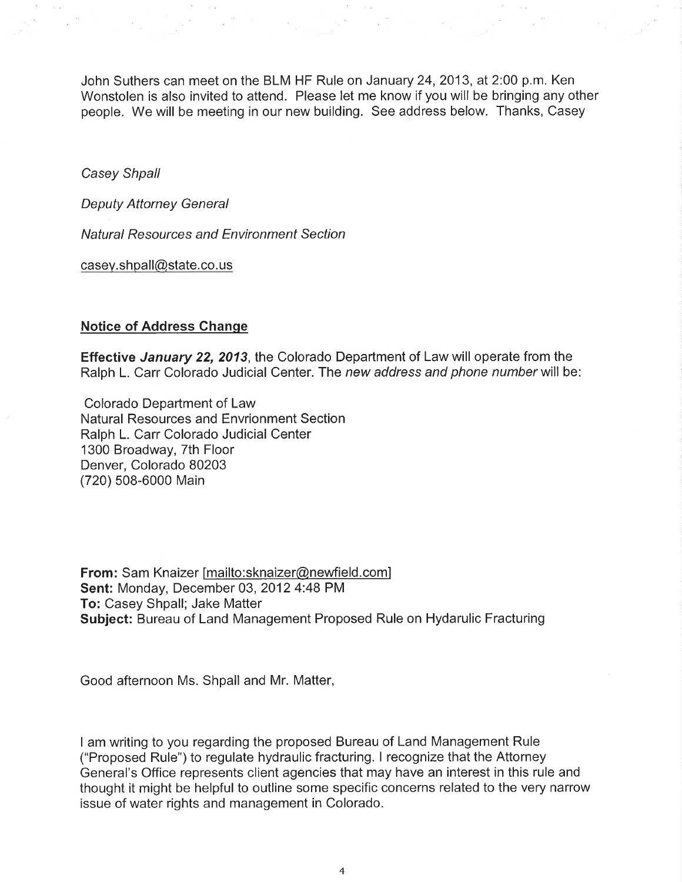John Suthers can meet on the BLM HF Rule on January 24, 2013, at 2:00 p.m. Ken Wonstolen is also invited to attend. Please let me know if you will be bringing any other people. We will be meeting in our new building. See address below. Thanks, Casey

Casey Shpall

Deputy Attorney General

Natural Resources and Environment Section

casey.shpall@state.co.us

#### Notice of Address Change

Effective January 22, 2013, the Colorado Department of Law will operate from the Ralph L. Carr Colorado Judicial Center. The new address and phone number will be:

Colorado Department of Law Natural Resources and Envrionment Section Ralph L. Carr Colorado Judicial Center 1300 Broadway, 7th Floor Denver, Colorado 80203 (720) 508-6000 Main

From: Sam Knaizer [mailto:sknaizer@newfield.com] Sent: Monday, December 03, 2012 4:48 PM To: Casey Shpall; Jake Matter Subject: Bureau of Land Management Proposed Rule on Hydarulic Fracturing

Good afternoon Ms. Shpall and Mr. Matter,

<sup>I</sup> am writing to you regarding the proposed Bureau of Land Management Rule ("Proposed Rule") to regulate hydraulic fracturing. <sup>I</sup> recognize that the Attorney General's Office represents client agencies that may have an interest in this rule and thought it might be helpful to outline some specific concerns related to the very narrow issue of water rights and management in Colorado.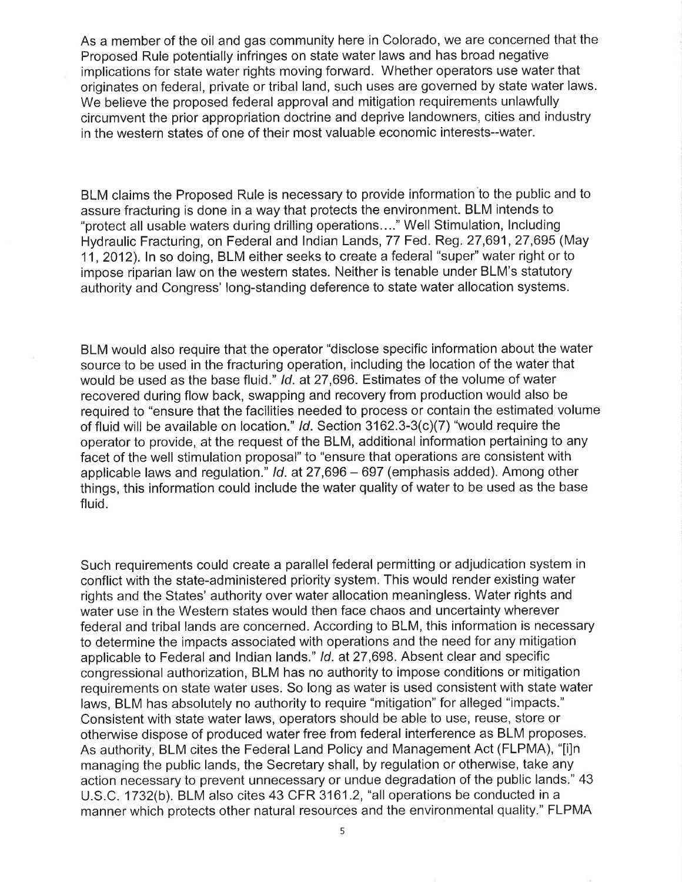As a member of the oil and gas community here in Colorado, we are concerned that the Proposed Rule potentially infringes on state water laws and has broad negative implications for state water rights moving forward. Whether operators use water that originates on federal, private or tribal land, such uses are governed by state water laws. We believe the proposed federal approval and mitigation requirements unlawfully circumvent the prior appropriation doctrine and deprive landowners, cities and industry in the western states of one of their most valuable economic interests--water.

BLM claims the Proposed Rule is necessary to provide information to the public and to assure fracturing is done in a way that protects the environment. BLM intends to "protect all usable waters during drilling operations..." Well Stimulation, Including Hydraulic Fracturing, on Federal and Indian Lands, 77 Fed. Reg. 27,691, 27,695 (May 11, 2012). In so doing, BLM either seeks to create a federal "super" water right or to impose riparian law on the western states. Neither is tenable under BLM's statutory authority and Congress' long-standing deference to state water allocation systems.

BLM would also require that the operator "disclose specific information about the water source to be used in the fracturing operation, including the location of the water that would be used as the base fluid." Id. at 27,696. Estimates of the volume of water recovered during flow back, swapping and recovery from production would also be required to "ensure that the facilities needed to process or contain the estimated volume of fluid will be available on location." Id. Section 3162.3-3(c)(7) "would require the operator to provide, at the request of the BLM, additional information pertaining to any facet of the well stimulation proposal" to "ensure that operations are consistent with applicable laws and regulation." Id. at 27,696 — 697 (emphasis added). Among other things, this information could include the water quality of water to be used as the base fluid.

Such requirements could create a parallel federal permitting or adjudication system in conflict with the state-administered priority system. This would render existing water rights and the States' authority over water allocation meaningless. Water rights and water use in the Western states would then face chaos and uncertainty wherever federal and tribal lands are concerned. According to BLM, this information is necessary to determine the impacts associated with operations and the need for any mitigation applicable to Federal and Indian lands." Id. at 27,698. Absent clear and specific congressional authorization, BLM has no authority to impose conditions or mitigation requirements on state water uses. So long as water is used consistent with state water laws, BLM has absolutely no authority to require "mitigation" for alleged "impacts." Consistent with state water laws, operators should be able to use, reuse, store or otherwise dispose of produced water free from federal interference as BLM proposes. As authority, BLM cites the Federal Land Policy and Management Act (FLPMA), "[i]n managing the public lands, the Secretary shall, by regulation or otherwise, take any action necessary to prevent unnecessary or undue degradation of the public lands." 43 U.S.C. 1732(b). BLM also cites 43 CFR 3161.2, "all operations be conducted in a manner which protects other natural resources and the environmental quality." FLPMA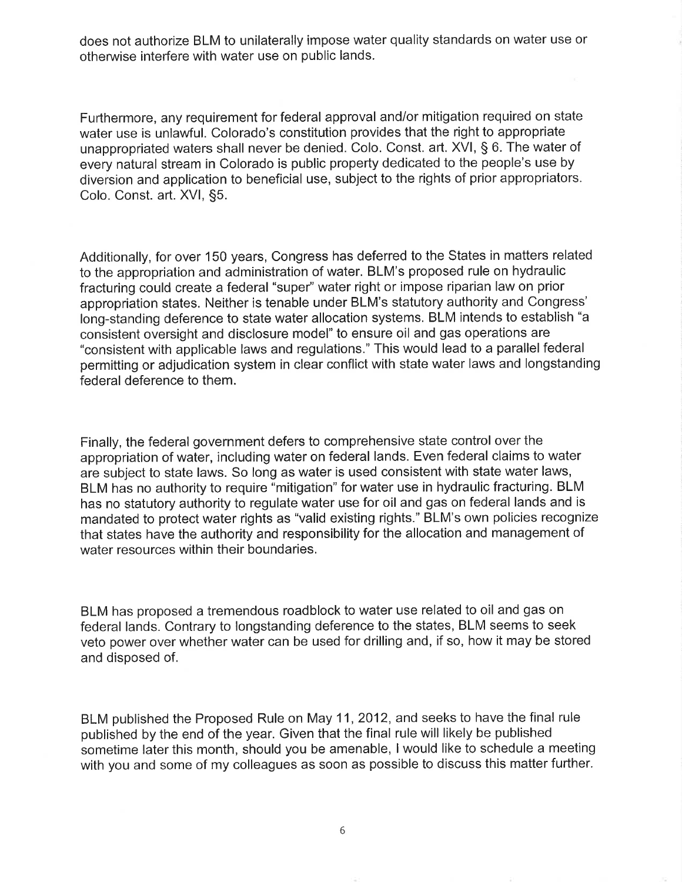does not authorize BLM to unilaterally impose water quality standards on water use or otherwise interfere with water use on public lands.

Furthermore, any requirement for federal approval and/or mitigation required on state water use is unlawful. Colorado's constitution provides that the right to appropriate unappropriated waters shall never be denied. Colo. Const. art. XVI, § 6. The water of every natural stream in Colorado is public property dedicated to the people's use by diversion and application to beneficial use, subject to the rights of prior appropriators. Colo. Const. art. XVI, §5.

Additionally, for over 150 years, Congress has deferred to the States in matters related to the appropriation and administration of water. BLM's proposed rule on hydraulic fracturing could create a federal "super" water right or impose riparian law on prior appropriation states. Neither is tenable under BLM's statutory authority and Congress' long-standing deference to state water allocation systems. BLM intends to establish "a consistent oversight and disclosure model" to ensure oil and gas operations are "consistent with applicable laws and regulations." This would lead to a parallel federal permitting or adjudication system in clear conflict with state water laws and longstanding federal deference to them.

Finally, the federal government defers to comprehensive state control over the appropriation of water, including water on federal lands. Even federal claims to water are subject to state laws. So long as water is used consistent with state water laws, BLM has no authority to require "mitigation" for water use in hydraulic fracturing. BLM has no statutory authority to regulate water use for oil and gas on federal lands and is mandated to protect water rights as "valid existing rights." BLM's own policies recognize that states have the authority and responsibility for the allocation and management of water resources within their boundaries.

BLM has proposed a tremendous roadblock to water use related to oil and gas on federal lands. Contrary to longstanding deference to the states, BLM seems to seek veto power over whether water can be used for drilling and, if so, how it may be stored and disposed of.

BLM published the Proposed Rule on May 11, 2012, and seeks to have the final rule published by the end of the year. Given that the final rule will likely be published sometime later this month, should you be amenable, <sup>I</sup> would like to schedule a meeting with you and some of my colleagues as soon as possible to discuss this matter further.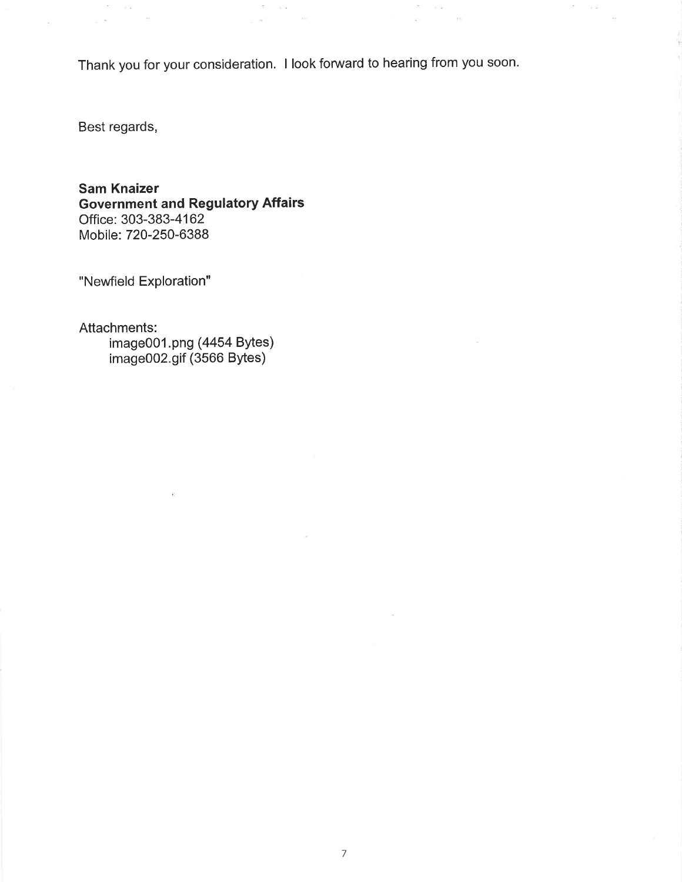Thank you for your consideration. <sup>I</sup> look forward to hearing from you soon

 $\sim$ 

 $\gtrsim$ 

 $\bar{K}$ 

 $\sim 10$ 

os.

 $\mathcal{F}_\mathrm{c} = -\mathrm{i} \, \vec{a}$ 

 $\mathcal{S} = -\pi\mathcal{S}$ 

 $_{\mu}$   $\approx$ 

Best regards,

 $\Omega = -\pi \Omega$ 

 $_{\odot}$   $\approx$ 

 $\sim$ 

 $\sim$ 

Sam Knaizer Government and Regulatory Affairs Office: 303-383-4162 Mobile: 720-250-6388

"Newfield Exploration"

Attachments:

image001.png (4454 Bytes) image002.gif (3566 Bytes)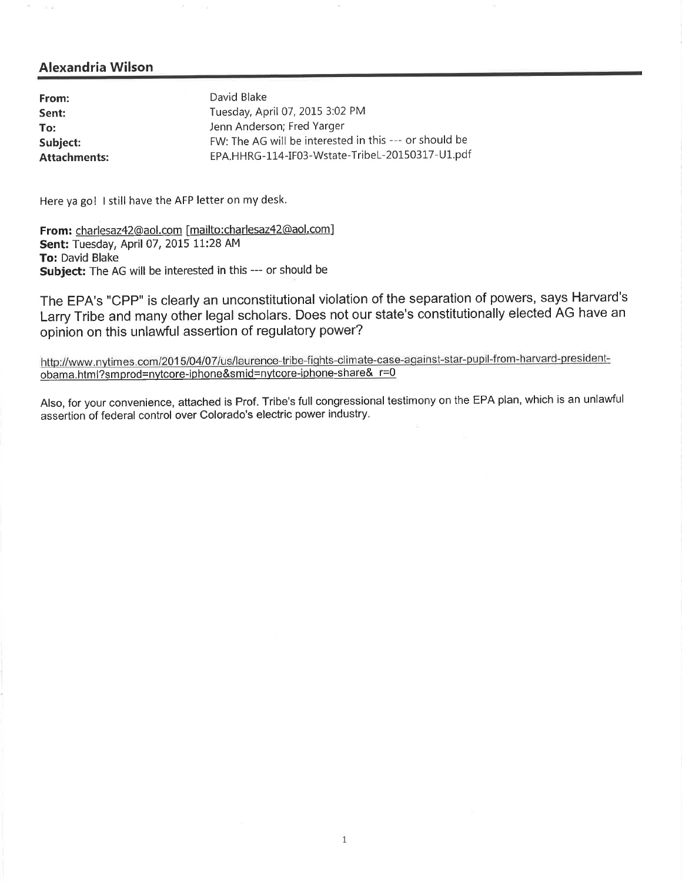×.  $\lambda=1$ 

| From:               | David Blake                                            |
|---------------------|--------------------------------------------------------|
| Sent:               | Tuesday, April 07, 2015 3:02 PM                        |
| To:                 | Jenn Anderson; Fred Yarger                             |
| Subject:            | FW: The AG will be interested in this --- or should be |
| <b>Attachments:</b> | EPA.HHRG-114-IF03-Wstate-TribeL-20150317-U1.pdf        |

Here ya go! <sup>I</sup> still have the AFP letter on my desk.

From: charlesaz42@aol.com [mailto:charlesaz42@aol,com] Sent: Tuesday, April 07, 2015 11:28 AM To: David Blake Subject: The AG will be interested in this --- or should be

ò.

The EPA's "CPP" is clearly an unconstitutional violation of the separation of powers, says Harvard's Larry Tribe and many other legal scholars. Does not our state's constitutionally elected AG have an opinion on this unlawful assertion of regulatory power?

http://www.nytimes.com/2015/04/07/us/laurence-tribe-fights-climate-case-against-star-pupil-from-harvard-presidentobama.html?smprod=nytcore-iphone&smid=nytcore-iphone-share& r=0

Also, for your convenience, attached is Prof. Tribe's full congressional testimony on the EPA plan, which is an unlawful assertion of federal control over Colorado's electric power industry.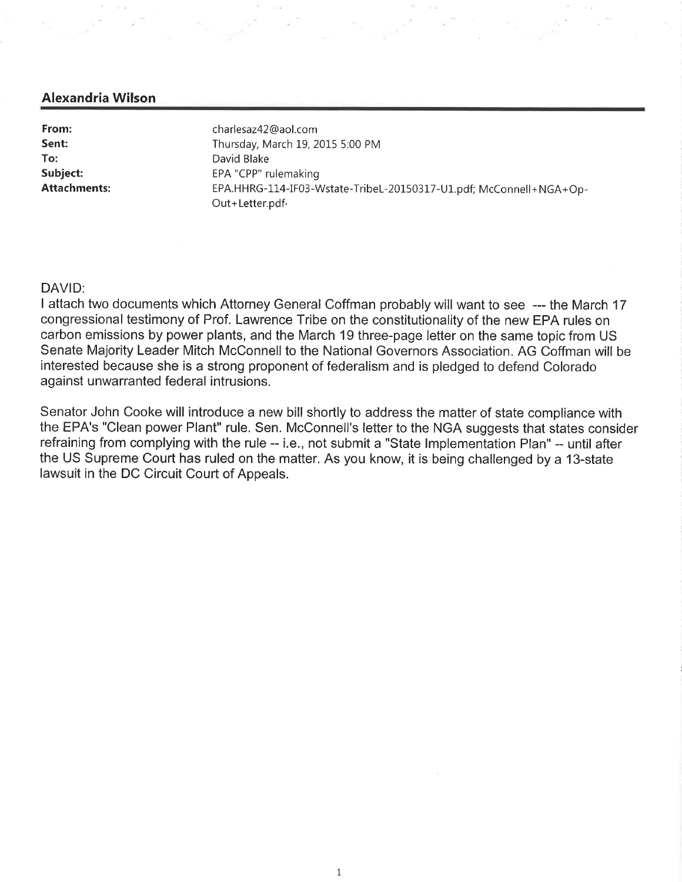| From:<br>Sent:      | charlesaz42@aol.com<br>Thursday, March 19, 2015 5:00 PM                               |
|---------------------|---------------------------------------------------------------------------------------|
| To:                 | David Blake                                                                           |
| Subject:            | EPA "CPP" rulemaking                                                                  |
| <b>Attachments:</b> | EPA.HHRG-114-IF03-Wstate-TribeL-20150317-U1.pdf; McConnell+NGA+Op-<br>Out+Letter.pdf. |

#### DAVID:

<sup>I</sup> attach two documents which Attorney General Coffman probably will want to see --- the March 17 congressional testimony of Prof. Lawrence Tribe on the constitutionality of the new EPA rules on carbon emissions by power plants, and the March 19 three-page letter on the same topic from US Senate Majority Leader Mitch McConnell to the National Governors Association. AG Coffman will be interested because she is a strong proponent of federalism and is pledged to defend Colorado against unwarranted federal intrusions.

Senator John Cooke will introduce a new bill shortly to address the matter of state compliance with the EPA's "Clean power Plant" rule. Sen. McConnell's letter to the NGA suggests that states consider refraining from complying with the rule -- i.e., not submit a "State Implementation Plan" -- until after the US Supreme Court has ruled on the matter. As you know, it is being challenged by a 13-state lawsuit in the DC Circuit Court of Appeals.